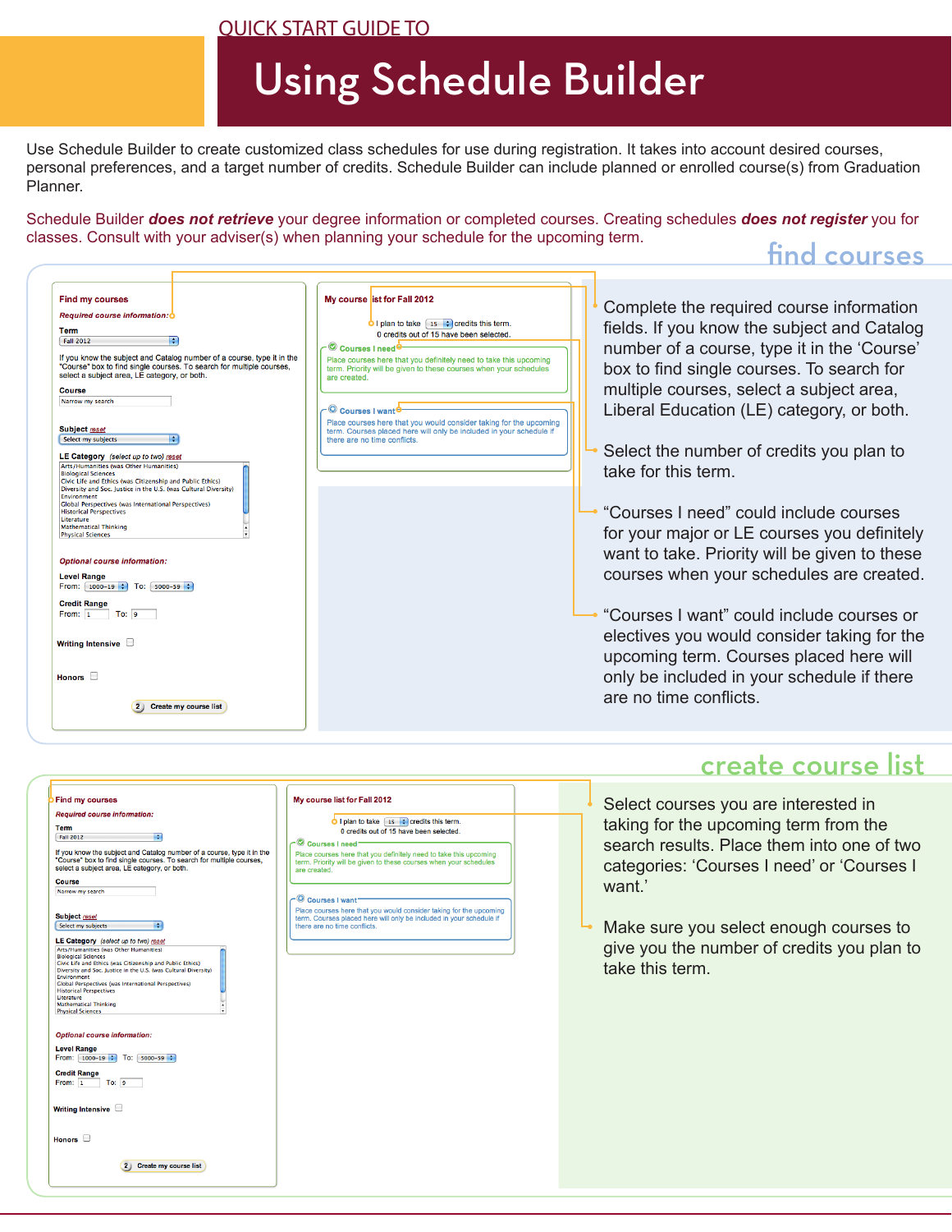#### QUICK START GUIDE TO

г

# Using Schedule Builder

Use Schedule Builder to create customized class schedules for use during registration. It takes into account desired courses, personal preferences, and a target number of credits. Schedule Builder can include planned or enrolled course(s) from Graduation Planner.

Schedule Builder *does not retrieve* your degree information or completed courses. Creating schedules *does not register* you for classes. Consult with your adviser(s) when planning your schedule for the upcoming term.

### find courses

| <b>Find my courses</b><br>Required course information: O<br>Term<br><b>Fall 2012</b><br>If you know the subject and Catalog number of a course, type it in the<br>"Course" box to find single courses. To search for multiple courses,<br>select a subject area, LE category, or both.<br><b>Course</b><br>Narrow my search<br>Subject reset<br>Select my subjects<br>LE Category (select up to two) reset<br>Arts/Humanities (was Other Humanities)<br><b>Biological Sciences</b><br>Civic Life and Ethics (was Citizenship and Public Ethics)<br>Diversity and Soc. Justice in the U.S. (was Cultural Diversity)<br>Environment<br>Global Perspectives (was International Perspectives)<br><b>Historical Perspectives</b><br>Literature<br><b>Mathematical Thinking</b><br><b>Physical Sciences</b><br><b>Optional course information:</b><br><b>Level Range</b><br>From: $1000-19$ ; To: $5000-59$ ;<br><b>Credit Range</b><br>To: 9<br>From: 1<br>Writing Intensive <b>D</b><br>Honors $\Box$<br>Create my course list | My course list for Fall 2012<br>O I plan to take $\begin{bmatrix} 15 & -1 \end{bmatrix}$ credits this term.<br>0 credits out of 15 have been selected.<br>Courses I need<br>Place courses here that you definitely need to take this upcoming<br>term. Priority will be given to these courses when your schedules<br>are created.<br>$\subset \mathbb{Q}$ Courses Lwan<br>Place courses here that you would consider taking for the upcoming<br>term. Courses placed here will only be included in your schedule if<br>there are no time conflicts. | Complete the required course information<br>fields. If you know the subject and Catalog<br>number of a course, type it in the 'Course'<br>box to find single courses. To search for<br>multiple courses, select a subject area,<br>Liberal Education (LE) category, or both.<br>Select the number of credits you plan to<br>take for this term.<br>"Courses I need" could include courses<br>for your major or LE courses you definitely<br>want to take. Priority will be given to these<br>courses when your schedules are created.<br>"Courses I want" could include courses or<br>electives you would consider taking for the<br>upcoming term. Courses placed here will<br>only be included in your schedule if there<br>are no time conflicts. |
|----------------------------------------------------------------------------------------------------------------------------------------------------------------------------------------------------------------------------------------------------------------------------------------------------------------------------------------------------------------------------------------------------------------------------------------------------------------------------------------------------------------------------------------------------------------------------------------------------------------------------------------------------------------------------------------------------------------------------------------------------------------------------------------------------------------------------------------------------------------------------------------------------------------------------------------------------------------------------------------------------------------------------|------------------------------------------------------------------------------------------------------------------------------------------------------------------------------------------------------------------------------------------------------------------------------------------------------------------------------------------------------------------------------------------------------------------------------------------------------------------------------------------------------------------------------------------------------|------------------------------------------------------------------------------------------------------------------------------------------------------------------------------------------------------------------------------------------------------------------------------------------------------------------------------------------------------------------------------------------------------------------------------------------------------------------------------------------------------------------------------------------------------------------------------------------------------------------------------------------------------------------------------------------------------------------------------------------------------|
|----------------------------------------------------------------------------------------------------------------------------------------------------------------------------------------------------------------------------------------------------------------------------------------------------------------------------------------------------------------------------------------------------------------------------------------------------------------------------------------------------------------------------------------------------------------------------------------------------------------------------------------------------------------------------------------------------------------------------------------------------------------------------------------------------------------------------------------------------------------------------------------------------------------------------------------------------------------------------------------------------------------------------|------------------------------------------------------------------------------------------------------------------------------------------------------------------------------------------------------------------------------------------------------------------------------------------------------------------------------------------------------------------------------------------------------------------------------------------------------------------------------------------------------------------------------------------------------|------------------------------------------------------------------------------------------------------------------------------------------------------------------------------------------------------------------------------------------------------------------------------------------------------------------------------------------------------------------------------------------------------------------------------------------------------------------------------------------------------------------------------------------------------------------------------------------------------------------------------------------------------------------------------------------------------------------------------------------------------|

#### My course list for Fall 2012 **Find my courses** Required course information:  $\bigcirc$  I plan to take  $\begin{array}{|c|c|c|}\n\hline\n15 & \text{•} \text{c} \text{r} \text{c} \text{r} \text{d} \text{d} \text{t} \text{sin} \text{t} \text{sin} \text{d} \text{c} \text{c} \text{d} \text{d} \text{c} \text{d} \text{d} \text{c} \text{d} \text{d} \text{d} \text{d} \text{d} \text{d} \text{c} \text{d} \text{c} \text{d} \text{d} \text{c} \text{d} \text{d} \text{c} \text{$ Term  $\frac{1}{2}$  Fall 2012 Courses I need If you know the subject and Catalog number of a course, type it in the<br>"Course" box to find single courses. To search for multiple courses,<br>select a subject area, LE category, or both. Place courses here that you definitely need to take this upcoming<br>term. Priority will be given to these courses when your schedules<br>are created. Course Narrow my search Courses I want Place courses here that you would consider taking for the upcoming<br>term. Courses placed here will only be included in your schedule if<br>there are no time conflicts. Subject reset Select my subjects **LE Category** (select up to two) reset<br>Arts/Humanities (was Other Humanities) Arts/Humanities (was Other Humanities)<br>Biological Sciences<br>Civic Life and Ethics (was Citizenship and Public Ethics)<br>Civic Life and Ethics (was Citizenship and Public Ethics)<br>Phylrompert Division and Soc. Justice in the O.S. (was Cultural Division<br>Clobal Perspectives (was International Perspectives)<br>Historical Perspectives<br>Literature Literature<br>Mathematical Thinking<br>Physical Sciences Optional course information: Level Range<br>From:  $\begin{array}{|l|l|}\n1000-19 & t\n\end{array}$  To:  $\begin{array}{|l|l|}\n5000-59 & t\n\end{array}$ Credit Range<br>From: 1 To: 9 Writing Intensive Honors  $\Box$ 2 Create my course list

# create course list

Select courses you are interested in taking for the upcoming term from the search results. Place them into one of two categories: 'Courses I need' or 'Courses I want.'

Make sure you select enough courses to give you the number of credits you plan to take this term.